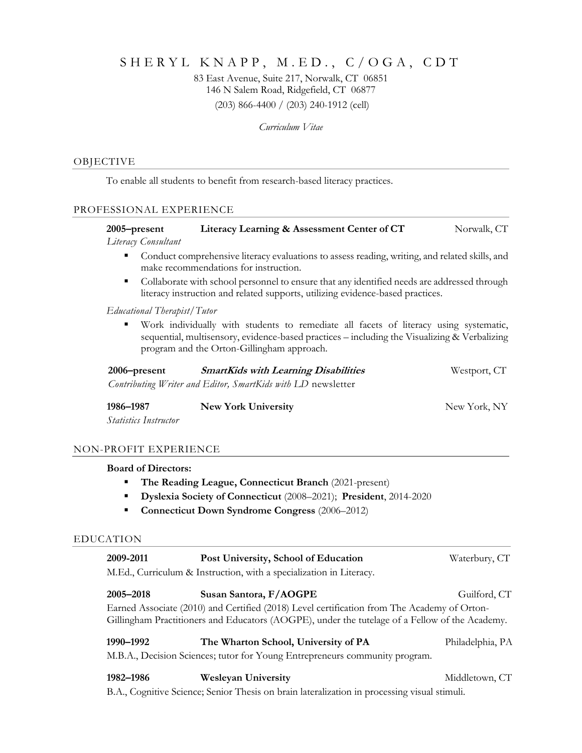# SHERYL KNAPP, M.ED., C/OGA, CDT

83 East Avenue, Suite 217, Norwalk, CT 06851 146 N Salem Road, Ridgefield, CT 06877 (203) 866-4400 / (203) 240-1912 (cell)

*Curriculum Vitae*

## OBJECTIVE

To enable all students to benefit from research-based literacy practices.

# PROFESSIONAL EXPERIENCE

| 2005–present        | Literacy Learning & Assessment Center of CT | Norwalk, CT |
|---------------------|---------------------------------------------|-------------|
| Literacy Consultant |                                             |             |

- Conduct comprehensive literacy evaluations to assess reading, writing, and related skills, and make recommendations for instruction.
- Collaborate with school personnel to ensure that any identified needs are addressed through literacy instruction and related supports, utilizing evidence-based practices.

# *Educational Therapist/Tutor*

Work individually with students to remediate all facets of literacy using systematic, sequential, multisensory, evidence-based practices – including the Visualizing & Verbalizing program and the Orton-Gillingham approach.

| 2006–present | <b>SmartKids with Learning Disabilities</b>                  | Westport, CT |
|--------------|--------------------------------------------------------------|--------------|
|              | Contributing Writer and Editor, SmartKids with LD newsletter |              |

**1986–1987 New York University** New York, NY

*Statistics Instructor*

#### NON-PROFIT EXPERIENCE

### **Board of Directors:**

- The Reading League, Connecticut Branch (2021-present)
- **Dyslexia Society of Connecticut** (2008–2021); **President**, 2014-2020
- **Connecticut Down Syndrome Congress** (2006–2012)

### EDUCATION

| 2009-2011                                                           | Post University, School of Education | Waterbury, CT |
|---------------------------------------------------------------------|--------------------------------------|---------------|
| M.Ed., Curriculum & Instruction, with a specialization in Literacy. |                                      |               |

| 2005–2018 | Susan Santora, F/AOGPE                                                                         | Guilford, CT |
|-----------|------------------------------------------------------------------------------------------------|--------------|
|           | Earned Associate (2010) and Certified (2018) Level certification from The Academy of Orton-    |              |
|           | Gillingham Practitioners and Educators (AOGPE), under the tutelage of a Fellow of the Academy. |              |

# **1990–1992 The Wharton School, University of PA** Philadelphia, PA M.B.A., Decision Sciences; tutor for Young Entrepreneurs community program.

| 1982–1986 |  | Weslevan University |  |  | Middletown, CT |  |
|-----------|--|---------------------|--|--|----------------|--|
|           |  |                     |  |  |                |  |

B.A., Cognitive Science; Senior Thesis on brain lateralization in processing visual stimuli.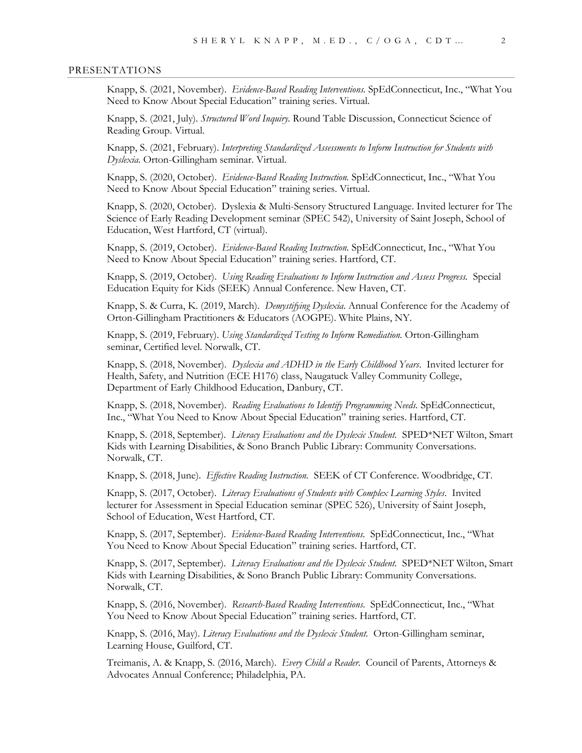#### PRESENTATIONS

Knapp, S. (2021, November). *Evidence-Based Reading Interventions.* SpEdConnecticut, Inc., "What You Need to Know About Special Education" training series. Virtual.

Knapp, S. (2021, July). *Structured Word Inquiry.* Round Table Discussion, Connecticut Science of Reading Group. Virtual.

Knapp, S. (2021, February). *Interpreting Standardized Assessments to Inform Instruction for Students with Dyslexia.* Orton-Gillingham seminar. Virtual.

Knapp, S. (2020, October). *Evidence-Based Reading Instruction.* SpEdConnecticut, Inc., "What You Need to Know About Special Education" training series. Virtual.

Knapp, S. (2020, October). Dyslexia & Multi-Sensory Structured Language. Invited lecturer for The Science of Early Reading Development seminar (SPEC 542), University of Saint Joseph, School of Education, West Hartford, CT (virtual).

Knapp, S. (2019, October). *Evidence-Based Reading Instruction.* SpEdConnecticut, Inc., "What You Need to Know About Special Education" training series. Hartford, CT.

Knapp, S. (2019, October). *Using Reading Evaluations to Inform Instruction and Assess Progress.* Special Education Equity for Kids (SEEK) Annual Conference. New Haven, CT.

Knapp, S. & Curra, K. (2019, March). *Demystifying Dyslexia*. Annual Conference for the Academy of Orton-Gillingham Practitioners & Educators (AOGPE). White Plains, NY.

Knapp, S. (2019, February). *Using Standardized Testing to Inform Remediation.* Orton-Gillingham seminar, Certified level. Norwalk, CT.

Knapp, S. (2018, November). *Dyslexia and ADHD in the Early Childhood Years*. Invited lecturer for Health, Safety, and Nutrition (ECE H176) class, Naugatuck Valley Community College, Department of Early Childhood Education, Danbury, CT.

Knapp, S. (2018, November). *Reading Evaluations to Identify Programming Needs.* SpEdConnecticut, Inc., "What You Need to Know About Special Education" training series. Hartford, CT.

Knapp, S. (2018, September). *Literacy Evaluations and the Dyslexic Student.* SPED\*NET Wilton, Smart Kids with Learning Disabilities, & Sono Branch Public Library: Community Conversations. Norwalk, CT.

Knapp, S. (2018, June). *Effective Reading Instruction.* SEEK of CT Conference. Woodbridge, CT.

Knapp, S. (2017, October). *Literacy Evaluations of Students with Complex Learning Styles*. Invited lecturer for Assessment in Special Education seminar (SPEC 526), University of Saint Joseph, School of Education, West Hartford, CT.

Knapp, S. (2017, September). *Evidence-Based Reading Interventions.* SpEdConnecticut, Inc., "What You Need to Know About Special Education" training series. Hartford, CT.

Knapp, S. (2017, September). *Literacy Evaluations and the Dyslexic Student.* SPED\*NET Wilton, Smart Kids with Learning Disabilities, & Sono Branch Public Library: Community Conversations. Norwalk, CT.

Knapp, S. (2016, November). *Research-Based Reading Interventions.* SpEdConnecticut, Inc., "What You Need to Know About Special Education" training series. Hartford, CT.

Knapp, S. (2016, May). *Literacy Evaluations and the Dyslexic Student.* Orton-Gillingham seminar, Learning House, Guilford, CT.

Treimanis, A. & Knapp, S. (2016, March). *Every Child a Reader.* Council of Parents, Attorneys & Advocates Annual Conference; Philadelphia, PA.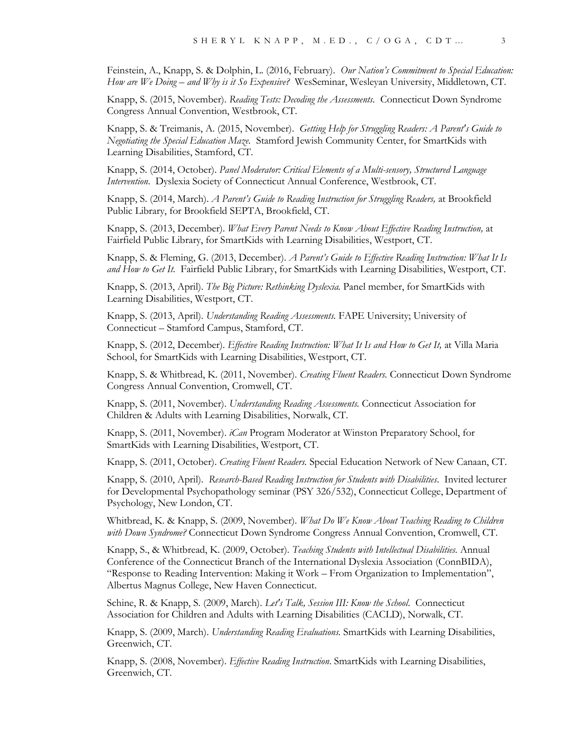Feinstein, A., Knapp, S. & Dolphin, L. (2016, February). *Our Nation's Commitment to Special Education: How are We Doing – and Why is it So Expensive?* WesSeminar, Wesleyan University, Middletown, CT.

Knapp, S. (2015, November). *Reading Tests: Decoding the Assessments.* Connecticut Down Syndrome Congress Annual Convention, Westbrook, CT.

Knapp, S. & Treimanis, A. (2015, November). *Getting Help for Struggling Readers: A Parent's Guide to Negotiating the Special Education Maze.* Stamford Jewish Community Center, for SmartKids with Learning Disabilities, Stamford, CT.

Knapp, S. (2014, October). *Panel Moderator: Critical Elements of a Multi-sensory, Structured Language Intervention*. Dyslexia Society of Connecticut Annual Conference, Westbrook, CT.

Knapp, S. (2014, March). *A Parent's Guide to Reading Instruction for Struggling Readers,* at Brookfield Public Library, for Brookfield SEPTA, Brookfield, CT.

Knapp, S. (2013, December). *What Every Parent Needs to Know About Effective Reading Instruction,* at Fairfield Public Library, for SmartKids with Learning Disabilities, Westport, CT.

Knapp, S. & Fleming, G. (2013, December). *A Parent's Guide to Effective Reading Instruction: What It Is and How to Get It.* Fairfield Public Library, for SmartKids with Learning Disabilities, Westport, CT.

Knapp, S. (2013, April). *The Big Picture: Rethinking Dyslexia.* Panel member, for SmartKids with Learning Disabilities, Westport, CT.

Knapp, S. (2013, April). *Understanding Reading Assessments.* FAPE University; University of Connecticut – Stamford Campus, Stamford, CT.

Knapp, S. (2012, December). *Effective Reading Instruction: What It Is and How to Get It,* at Villa Maria School, for SmartKids with Learning Disabilities, Westport, CT.

Knapp, S. & Whitbread, K. (2011, November). *Creating Fluent Readers.* Connecticut Down Syndrome Congress Annual Convention, Cromwell, CT.

Knapp, S. (2011, November). *Understanding Reading Assessments.* Connecticut Association for Children & Adults with Learning Disabilities, Norwalk, CT.

Knapp, S. (2011, November). *iCan* Program Moderator at Winston Preparatory School, for SmartKids with Learning Disabilities, Westport, CT.

Knapp, S. (2011, October). *Creating Fluent Readers.* Special Education Network of New Canaan, CT.

Knapp, S. (2010, April). *Research-Based Reading Instruction for Students with Disabilities*. Invited lecturer for Developmental Psychopathology seminar (PSY 326/532), Connecticut College, Department of Psychology, New London, CT.

Whitbread, K. & Knapp, S. (2009, November). *What Do We Know About Teaching Reading to Children with Down Syndrome?* Connecticut Down Syndrome Congress Annual Convention, Cromwell, CT.

Knapp, S., & Whitbread, K. (2009, October). *Teaching Students with Intellectual Disabilities.* Annual Conference of the Connecticut Branch of the International Dyslexia Association (ConnBIDA), "Response to Reading Intervention: Making it Work – From Organization to Implementation", Albertus Magnus College, New Haven Connecticut.

Schine, R. & Knapp, S. (2009, March). *Let's Talk, Session III: Know the School*. Connecticut Association for Children and Adults with Learning Disabilities (CACLD), Norwalk, CT.

Knapp, S. (2009, March). *Understanding Reading Evaluations.* SmartKids with Learning Disabilities, Greenwich, CT.

Knapp, S. (2008, November). *Effective Reading Instruction*. SmartKids with Learning Disabilities, Greenwich, CT.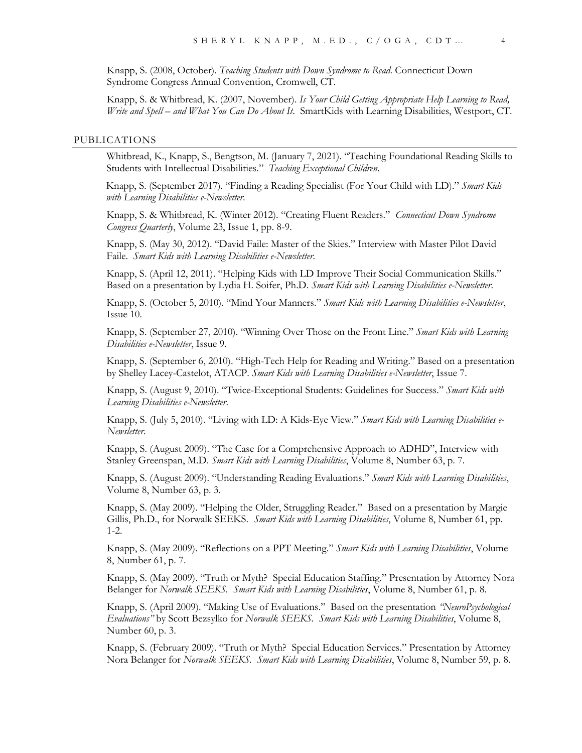Knapp, S. (2008, October). *Teaching Students with Down Syndrome to Read*. Connecticut Down Syndrome Congress Annual Convention, Cromwell, CT.

Knapp, S. & Whitbread, K. (2007, November). *Is Your Child Getting Appropriate Help Learning to Read, Write and Spell – and What You Can Do About It*. SmartKids with Learning Disabilities, Westport, CT.

#### PUBLICATIONS

Whitbread, K., Knapp, S., Bengtson, M. (January 7, 2021). "Teaching Foundational Reading Skills to Students with Intellectual Disabilities." *Teaching Exceptional Children*.

Knapp, S. (September 2017). "Finding a Reading Specialist (For Your Child with LD)." *Smart Kids with Learning Disabilities e-Newsletter*.

Knapp, S. & Whitbread, K. (Winter 2012). "Creating Fluent Readers." *Connecticut Down Syndrome Congress Quarterly*, Volume 23, Issue 1, pp. 8-9.

Knapp, S. (May 30, 2012). "David Faile: Master of the Skies." Interview with Master Pilot David Faile. *Smart Kids with Learning Disabilities e-Newsletter*.

Knapp, S. (April 12, 2011). "Helping Kids with LD Improve Their Social Communication Skills." Based on a presentation by Lydia H. Soifer, Ph.D. *Smart Kids with Learning Disabilities e-Newsletter*.

Knapp, S. (October 5, 2010). "Mind Your Manners." *Smart Kids with Learning Disabilities e-Newsletter*, Issue 10.

Knapp, S. (September 27, 2010). "Winning Over Those on the Front Line." *Smart Kids with Learning Disabilities e-Newsletter*, Issue 9.

Knapp, S. (September 6, 2010). "High-Tech Help for Reading and Writing." Based on a presentation by Shelley Lacey-Castelot, ATACP. *Smart Kids with Learning Disabilities e-Newsletter*, Issue 7.

Knapp, S. (August 9, 2010). "Twice-Exceptional Students: Guidelines for Success." *Smart Kids with Learning Disabilities e-Newsletter*.

Knapp, S. (July 5, 2010). "Living with LD: A Kids-Eye View." *Smart Kids with Learning Disabilities e-Newsletter*.

Knapp, S. (August 2009). "The Case for a Comprehensive Approach to ADHD", Interview with Stanley Greenspan, M.D. *Smart Kids with Learning Disabilities*, Volume 8, Number 63, p. 7.

Knapp, S. (August 2009). "Understanding Reading Evaluations." *Smart Kids with Learning Disabilities*, Volume 8, Number 63, p. 3.

Knapp, S. (May 2009). "Helping the Older, Struggling Reader." Based on a presentation by Margie Gillis, Ph.D., for Norwalk SEEKS. *Smart Kids with Learning Disabilities*, Volume 8, Number 61, pp. 1-2.

Knapp, S. (May 2009). "Reflections on a PPT Meeting." *Smart Kids with Learning Disabilities*, Volume 8, Number 61, p. 7.

Knapp, S. (May 2009). "Truth or Myth? Special Education Staffing." Presentation by Attorney Nora Belanger for *Norwalk SEEKS. Smart Kids with Learning Disabilities*, Volume 8, Number 61, p. 8.

Knapp, S. (April 2009). "Making Use of Evaluations." Based on the presentation *"NeuroPsychological Evaluations"* by Scott Bezsylko for *Norwalk SEEKS. Smart Kids with Learning Disabilities*, Volume 8, Number 60, p. 3.

Knapp, S. (February 2009). "Truth or Myth? Special Education Services." Presentation by Attorney Nora Belanger for *Norwalk SEEKS. Smart Kids with Learning Disabilities*, Volume 8, Number 59, p. 8.